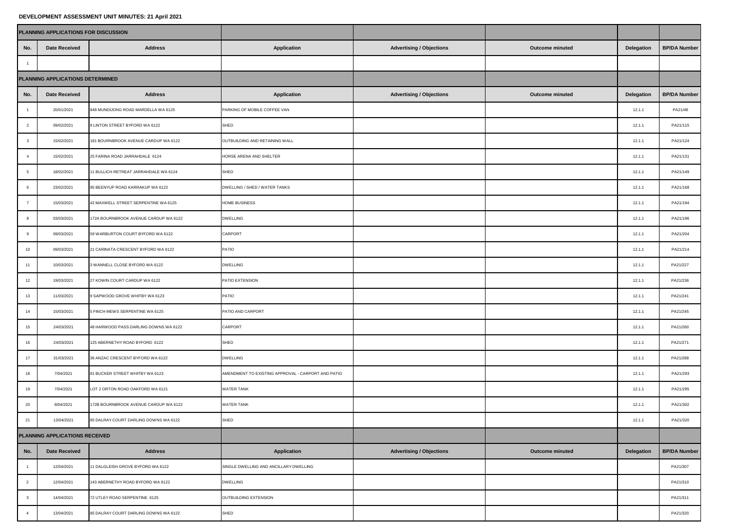## **DEVELOPMENT ASSESSMENT UNIT MINUTES: 21 April 2021**

|                                  | PLANNING APPLICATIONS FOR DISCUSSION |                                       |                                                    |                                 |                        |            |                     |
|----------------------------------|--------------------------------------|---------------------------------------|----------------------------------------------------|---------------------------------|------------------------|------------|---------------------|
| No.                              | <b>Date Received</b>                 | <b>Address</b>                        | <b>Application</b>                                 | <b>Advertising / Objections</b> | <b>Outcome minuted</b> | Delegation | <b>BP/DA Number</b> |
| $\overline{1}$                   |                                      |                                       |                                                    |                                 |                        |            |                     |
| PLANNING APPLICATIONS DETERMINED |                                      |                                       |                                                    |                                 |                        |            |                     |
| No.                              | <b>Date Received</b>                 | <b>Address</b>                        | <b>Application</b>                                 | <b>Advertising / Objections</b> | Outcome minuted        | Delegation | <b>BP/DA Number</b> |
| $\overline{1}$                   | 20/01/2021                           | 848 MUNDIJONG ROAD MARDELLA WA 6125   | PARKING OF MOBILE COFFEE VAN                       |                                 |                        | 12.1.1     | PA21/48             |
| $\overline{2}$                   | 09/02/2021                           | 9 LINTON STREET BYFORD WA 6122        | SHED                                               |                                 |                        | 12.1.1     | PA21/115            |
| $\mathbf{3}$                     | 15/02/2021                           | 181 BOURNBROOK AVENUE CARDUP WA 6122  | OUTBUILDING AND RETAINING WALL                     |                                 |                        | 12.1.1     | PA21/124            |
| $\overline{4}$                   | 15/02/2021                           | 25 FARINA ROAD JARRAHDALE 6124        | HORSE ARENA AND SHELTER                            |                                 |                        | 12.1.1     | PA21/131            |
| 5                                | 18/02/2021                           | 11 BULLICH RETREAT JARRAHDALE WA 6124 | SHED                                               |                                 |                        | 12.1.1     | PA21/149            |
| 6                                | 23/02/2021                           | 95 BEENYUP ROAD KARRAKUP WA 6122      | DWELLING / SHED / WATER TANKS                      |                                 |                        | 12.1.1     | PA21/168            |
| $\scriptstyle{7}$                | 15/03/2021                           | 42 MAXWELL STREET SERPENTINE WA 6125  | <b>IOME BUSINESS</b>                               |                                 |                        | 12.1.1     | PA21/194            |
| 8                                | 03/03/2021                           | 172A BOURNBROOK AVENUE CARDUP WA 6122 | <b>DWELLING</b>                                    |                                 |                        | 12.1.1     | PA21/196            |
| 9                                | 09/03/2021                           | 59 WARBURTON COURT BYFORD WA 6122     | CARPORT                                            |                                 |                        | 12.1.1     | PA21/204            |
| 10                               | 09/03/2021                           | 21 CARINATA CRESCENT BYFORD WA 6122   | PATIO                                              |                                 |                        | 12.1.1     | PA21/214            |
| 11                               | 10/03/2021                           | 3 WANNELL CLOSE BYFORD WA 6122        | <b>DWELLING</b>                                    |                                 |                        | 12.1.1     | PA21/227            |
| 12                               | 19/03/2021                           | 27 KOWIN COURT CARDUP WA 6122         | PATIO EXTENSION                                    |                                 |                        | 12.1.1     | PA21/236            |
| $13\,$                           | 11/03/2021                           | 9 SAPWOOD GROVE WHITBY WA 6123        | PATIO                                              |                                 |                        | 12.1.1     | PA21/241            |
| 14                               | 15/03/2021                           | 5 FINCH MEWS SERPENTINE WA 6125       | PATIO AND CARPORT                                  |                                 |                        | 12.1.1     | PA21/245            |
| 15                               | 24/03/2021                           | 48 HARWOOD PASS DARLING DOWNS WA 6122 | CARPORT                                            |                                 |                        | 12.1.1     | PA21/260            |
| 16                               | 24/03/2021                           | 125 ABERNETHY ROAD BYFORD 6122        | SHED                                               |                                 |                        | 12.1.1     | PA21/271            |
| 17                               | 31/03/2021                           | 36 ANZAC CRESCENT BYFORD WA 6122      | <b>DWELLING</b>                                    |                                 |                        | 12.1.1     | PA21/288            |
| $18\,$                           | 7/04/2021                            | 81 BUCKER STREET WHITBY WA 6123       | AMENDMENT TO EXISTING APPROVAL - CARPORT AND PATIO |                                 |                        | 12.1.1     | PA21/293            |
| 19                               | 7/04/2021                            | LOT 2 ORTON ROAD OAKFORD WA 6121      | WATER TANK                                         |                                 |                        | 12.1.1     | PA21/295            |
| 20                               | 8/04/2021                            | 172B BOURNBROOK AVENUE CARDUP WA 6122 | <b>WATER TANK</b>                                  |                                 |                        | 12.1.1     | PA21/302            |
| 21                               | 13/04/2021                           | 85 DALRAY COURT DARLING DOWNS WA 6122 | SHED                                               |                                 |                        | 12.1.1     | PA21/320            |
| PLANNING APPLICATIONS RECEIVED   |                                      |                                       |                                                    |                                 |                        |            |                     |
| No.                              | <b>Date Received</b>                 | <b>Address</b>                        | <b>Application</b>                                 | <b>Advertising / Objections</b> | <b>Outcome minuted</b> | Delegation | <b>BP/DA Number</b> |
| $\overline{1}$                   | 12/04/2021                           | 11 DALGLEISH GROVE BYFORD WA 6122     | SINGLE DWELLING AND ANCILLARY DWELLING             |                                 |                        |            | PA21/307            |
| $\overline{2}$                   | 12/04/2021                           | 143 ABERNETHY ROAD BYFORD WA 6122     | <b>DWELLING</b>                                    |                                 |                        |            | PA21/310            |
| $\mathbf{3}$                     | 14/04/2021                           | 72 UTLEY ROAD SERPENTINE 6125         | OUTBUILDING EXTENSION                              |                                 |                        |            | PA21/311            |
| $\overline{4}$                   | 13/04/2021                           | 85 DALRAY COURT DARLING DOWNS WA 6122 | SHED                                               |                                 |                        |            | PA21/320            |